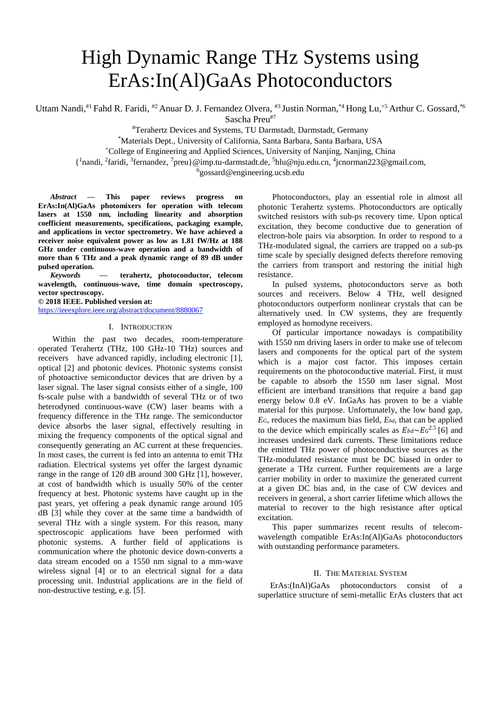# High Dynamic Range THz Systems using ErAs:In(Al)GaAs Photoconductors

Uttam Nandi,<sup>#1</sup> Fahd R. Faridi, <sup>#2</sup> Anuar D. J. Fernandez Olvera, <sup>#3</sup> Justin Norman,<sup>\*4</sup> Hong Lu,<sup>+5</sup> Arthur C. Gossard,<sup>\*6</sup> Sascha Preu#7

#Terahertz Devices and Systems, TU Darmstadt, Darmstadt, Germany

\*Materials Dept., University of California, Santa Barbara, Santa Barbara, USA

<sup>+</sup>College of Engineering and Applied Sciences, University of Nanjing, Nanjing, China

{ 1 nandi, <sup>2</sup> faridi, <sup>3</sup> fernandez, <sup>7</sup> preu}@imp.tu-darmstadt.de, <sup>5</sup> hlu@nju.edu.cn, <sup>4</sup> jcnorman223@gmail.com,

6 gossard@engineering.ucsb.edu

*Abstract —* **This paper reviews progress on ErAs:In(Al)GaAs photomixers for operation with telecom lasers at 1550 nm, including linearity and absorption coefficient measurements, specifications, packaging example, and applications in vector spectrometry. We have achieved a receiver noise equivalent power as low as 1.81 fW/Hz at 188 GHz under continuous-wave operation and a bandwidth of more than 6 THz and a peak dynamic range of 89 dB under pulsed operation.** 

*Keywords* **— terahertz, photoconductor, telecom wavelength, continuous-wave, time domain spectroscopy, vector spectroscopy.**

**© 2018 IEEE. Published version at:**

<https://ieeexplore.ieee.org/abstract/document/8880067>

#### I. INTRODUCTION

Within the past two decades, room-temperature operated Terahertz (THz, 100 GHz-10 THz) sources and receivers have advanced rapidly, including electronic [1], optical [2] and photonic devices. Photonic systems consist of photoactive semiconductor devices that are driven by a laser signal. The laser signal consists either of a single, 100 fs-scale pulse with a bandwidth of several THz or of two heterodyned continuous-wave (CW) laser beams with a frequency difference in the THz range. The semiconductor device absorbs the laser signal, effectively resulting in mixing the frequency components of the optical signal and consequently generating an AC current at these frequencies. In most cases, the current is fed into an antenna to emit THz radiation. Electrical systems yet offer the largest dynamic range in the range of 120 dB around 300 GHz [1], however, at cost of bandwidth which is usually 50% of the center frequency at best. Photonic systems have caught up in the past years, yet offering a peak dynamic range around 105 dB [3] while they cover at the same time a bandwidth of several THz with a single system. For this reason, many spectroscopic applications have been performed with photonic systems. A further field of applications is communication where the photonic device down-converts a data stream encoded on a 1550 nm signal to a mm-wave wireless signal [4] or to an electrical signal for a data processing unit. Industrial applications are in the field of non-destructive testing, e.g. [5].

Photoconductors, play an essential role in almost all photonic Terahertz systems. Photoconductors are optically switched resistors with sub-ps recovery time. Upon optical excitation, they become conductive due to generation of electron-hole pairs via absorption. In order to respond to a THz-modulated signal, the carriers are trapped on a sub-ps time scale by specially designed defects therefore removing the carriers from transport and restoring the initial high resistance.

In pulsed systems, photoconductors serve as both sources and receivers. Below 4 THz, well designed photoconductors outperform nonlinear crystals that can be alternatively used. In CW systems, they are frequently employed as homodyne receivers.

Of particular importance nowadays is compatibility with 1550 nm driving lasers in order to make use of telecom lasers and components for the optical part of the system which is a major cost factor. This imposes certain requirements on the photoconductive material. First, it must be capable to absorb the 1550 nm laser signal. Most efficient are interband transitions that require a band gap energy below 0.8 eV. InGaAs has proven to be a viable material for this purpose. Unfortunately, the low band gap, *EG*, reduces the maximum bias field, *Ebd*, that can be applied to the device which empirically scales as  $E_{bd} \sim E_G^{2.5}$  [6] and increases undesired dark currents. These limitations reduce the emitted THz power of photoconductive sources as the THz-modulated resistance must be DC biased in order to generate a THz current. Further requirements are a large carrier mobility in order to maximize the generated current at a given DC bias and, in the case of CW devices and receivers in general, a short carrier lifetime which allows the material to recover to the high resistance after optical excitation.

This paper summarizes recent results of telecomwavelength compatible ErAs:In(Al)GaAs photoconductors with outstanding performance parameters.

## II. THE MATERIAL SYSTEM

ErAs:(InAl)GaAs photoconductors consist of a superlattice structure of semi-metallic ErAs clusters that act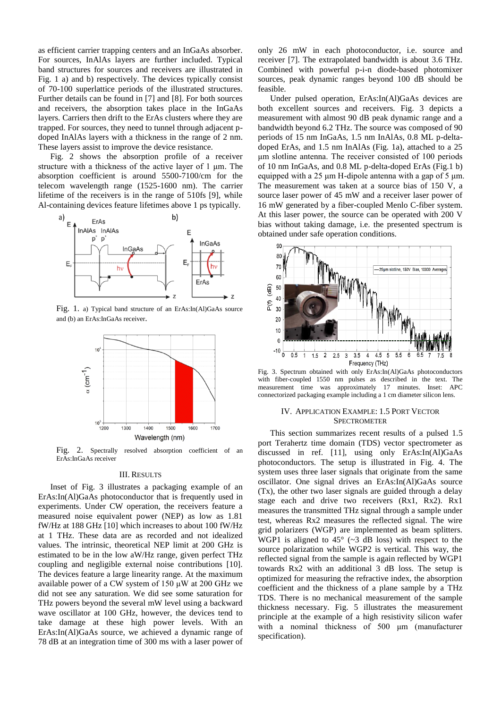as efficient carrier trapping centers and an InGaAs absorber. For sources, InAlAs layers are further included. Typical band structures for sources and receivers are illustrated in Fig. 1 a) and b) respectively. The devices typically consist of 70-100 superlattice periods of the illustrated structures. Further details can be found in [7] and [8]. For both sources and receivers, the absorption takes place in the InGaAs layers. Carriers then drift to the ErAs clusters where they are trapped. For sources, they need to tunnel through adjacent pdoped InAlAs layers with a thickness in the range of 2 nm. These layers assist to improve the device resistance.

Fig. 2 shows the absorption profile of a receiver structure with a thickness of the active layer of 1 μm. The absorption coefficient is around 5500-7100/cm for the telecom wavelength range (1525-1600 nm). The carrier lifetime of the receivers is in the range of 510fs [9], while Al-containing devices feature lifetimes above 1 ps typically.



Fig. 1. a) Typical band structure of an ErAs:In(Al)GaAs source and (b) an ErAs:InGaAs receiver.



Fig. 2. Spectrally resolved absorption coefficient of an ErAs:InGaAs receiver

#### III. RESULTS

Inset of Fig. 3 illustrates a packaging example of an ErAs:In(Al)GaAs photoconductor that is frequently used in experiments. Under CW operation, the receivers feature a measured noise equivalent power (NEP) as low as 1.81 fW/Hz at 188 GHz [10] which increases to about 100 fW/Hz at 1 THz. These data are as recorded and not idealized values. The intrinsic, theoretical NEP limit at 200 GHz is estimated to be in the low aW/Hz range, given perfect THz coupling and negligible external noise contributions [10]. The devices feature a large linearity range. At the maximum available power of a CW system of 150 μW at 200 GHz we did not see any saturation. We did see some saturation for THz powers beyond the several mW level using a backward wave oscillator at 100 GHz, however, the devices tend to take damage at these high power levels. With an ErAs:In(Al)GaAs source, we achieved a dynamic range of 78 dB at an integration time of 300 ms with a laser power of only 26 mW in each photoconductor, i.e. source and receiver [7]. The extrapolated bandwidth is about 3.6 THz. Combined with powerful p-i-n diode-based photomixer sources, peak dynamic ranges beyond 100 dB should be feasible.

Under pulsed operation, ErAs:In(Al)GaAs devices are both excellent sources and receivers. Fig. 3 depicts a measurement with almost 90 dB peak dynamic range and a bandwidth beyond 6.2 THz. The source was composed of 90 periods of 15 nm InGaAs, 1.5 nm InAlAs, 0.8 ML p-deltadoped ErAs, and 1.5 nm InAlAs (Fig. 1a), attached to a 25 μm slotline antenna. The receiver consisted of 100 periods of 10 nm InGaAs, and 0.8 ML p-delta-doped ErAs (Fig.1 b) equipped with a 25 μm H-dipole antenna with a gap of 5 μm. The measurement was taken at a source bias of 150 V, a source laser power of 45 mW and a receiver laser power of 16 mW generated by a fiber-coupled Menlo C-fiber system. At this laser power, the source can be operated with 200 V bias without taking damage, i.e. the presented spectrum is obtained under safe operation conditions.



Fig. 3. Spectrum obtained with only ErAs:In(Al)GaAs photoconductors with fiber-coupled 1550 nm pulses as described in the text. The measurement time was approximately 17 minutes. Inset: APC connectorized packaging example including a 1 cm diameter silicon lens.

# IV. APPLICATION EXAMPLE: 1.5 PORT VECTOR **SPECTROMETER**

This section summarizes recent results of a pulsed 1.5 port Terahertz time domain (TDS) vector spectrometer as discussed in ref. [11], using only ErAs:In(Al)GaAs photoconductors. The setup is illustrated in Fig. 4. The system uses three laser signals that originate from the same oscillator. One signal drives an ErAs:In(Al)GaAs source (Tx), the other two laser signals are guided through a delay stage each and drive two receivers (Rx1, Rx2). Rx1 measures the transmitted THz signal through a sample under test, whereas Rx2 measures the reflected signal. The wire grid polarizers (WGP) are implemented as beam splitters. WGP1 is aligned to  $45^{\circ}$  ( $\sim$ 3 dB loss) with respect to the source polarization while WGP2 is vertical. This way, the reflected signal from the sample is again reflected by WGP1 towards Rx2 with an additional 3 dB loss. The setup is optimized for measuring the refractive index, the absorption coefficient and the thickness of a plane sample by a THz TDS. There is no mechanical measurement of the sample thickness necessary. Fig. 5 illustrates the measurement principle at the example of a high resistivity silicon wafer with a nominal thickness of 500 μm (manufacturer specification).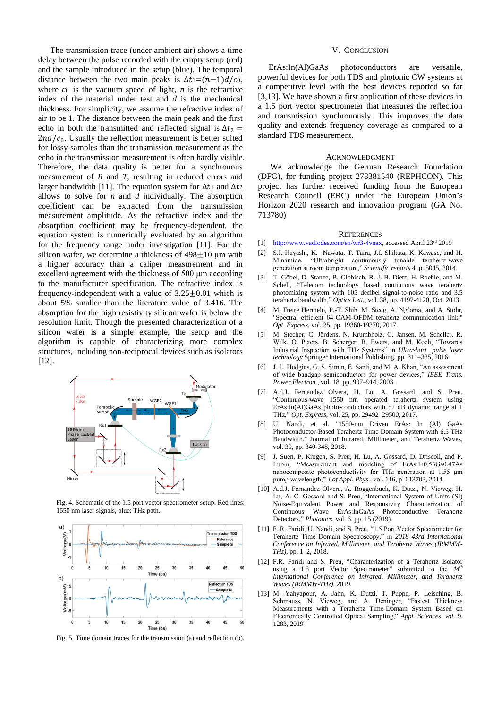The transmission trace (under ambient air) shows a time delay between the pulse recorded with the empty setup (red) and the sample introduced in the setup (blue). The temporal distance between the two main peaks is  $\Delta t = (n-1)d/c$ . where  $\cos$  is the vacuum speed of light, *n* is the refractive index of the material under test and *d* is the mechanical thickness. For simplicity, we assume the refractive index of air to be 1. The distance between the main peak and the first echo in both the transmitted and reflected signal is  $\Delta t_2$  =  $2nd/c<sub>0</sub>$ . Usually the reflection measurement is better suited for lossy samples than the transmission measurement as the echo in the transmission measurement is often hardly visible. Therefore, the data quality is better for a synchronous measurement of *R* and *T*, resulting in reduced errors and larger bandwidth [11]. The equation system for  $\Delta t_1$  and  $\Delta t_2$ allows to solve for *n* and *d* individually. The absorption coefficient can be extracted from the transmission measurement amplitude. As the refractive index and the absorption coefficient may be frequency-dependent, the equation system is numerically evaluated by an algorithm for the frequency range under investigation [11]. For the silicon wafer, we determine a thickness of  $498\pm10$  µm with a higher accuracy than a caliper measurement and in excellent agreement with the thickness of 500 um according to the manufacturer specification. The refractive index is frequency-independent with a value of  $3.25 \pm 0.01$  which is about 5% smaller than the literature value of 3.416. The absorption for the high resistivity silicon wafer is below the resolution limit. Though the presented characterization of a silicon wafer is a simple example, the setup and the algorithm is capable of characterizing more complex structures, including non-reciprocal devices such as isolators [12].



Fig. 4. Schematic of the 1.5 port vector spectrometer setup. Red lines: 1550 nm laser signals, blue: THz path.



Fig. 5. Time domain traces for the transmission (a) and reflection (b).

## V. CONCLUSION

 ErAs:In(Al)GaAs photoconductors are versatile, powerful devices for both TDS and photonic CW systems at a competitive level with the best devices reported so far [3,13]. We have shown a first application of these devices in a 1.5 port vector spectrometer that measures the reflection and transmission synchronously. This improves the data quality and extends frequency coverage as compared to a standard TDS measurement.

#### ACKNOWLEDGMENT

We acknowledge the German Research Foundation (DFG), for funding project 278381540 (REPHCON). This project has further received funding from the European Research Council (ERC) under the European Union's Horizon 2020 research and innovation program (GA No. 713780)

#### **REFERENCES**

- [1] [http://www.vadiodes.com/en/wr3-4vnax,](http://www.vadiodes.com/en/wr3-4vnax) accessed April 23rd 2019
- [2] S.I. Hayashi, K. Nawata, T. Taira, J.I. Shikata, K. Kawase, and H. Minamide, "Ultrabright continuously tunable terahertz-wave generation at room temperature," *Scientific reports* 4, p. 5045, 2014.
- [3] T. Göbel, D. Stanze, B. Globisch, R. J. B. Dietz, H. Roehle, and M. Schell, "Telecom technology based continuous wave terahertz photomixing system with 105 decibel signal-to-noise ratio and 3.5 terahertz bandwidth," *Optics Lett.*, vol. 38, pp. 4197-4120, Oct. 2013
- [4] M. Freire Hermelo, P.-T. Shih, M. Steeg, A. Ng'oma, and A. Stöhr, "Spectral efficient 64-QAM-OFDM terahertz communication link," *Opt. Express*, vol. 25, pp. 19360-19370, 2017.
- [5] M. Stecher, C. Jördens, N. Krumbholz, C. Jansen, M. Scheller, R. Wilk, O. Peters, B. Scherger, B. Ewers, and M. Koch, "Towards Industrial Inspection with THz Systems" in *Ultrashort pulse laser technology* Springer International Publishing, pp. 311–335, 2016.
- [6] J. L. Hudgins, G. S. Simin, E. Santi, and M. A. Khan, "An assessment of wide bandgap semiconductors for power devices," *IEEE Trans. Power Electron.*, vol. 18, pp. 907–914, 2003.
- [7] A.d.J. Fernandez Olvera, H. Lu, A. Gossard, and S. Preu, "Continuous-wave 1550 nm operated terahertz system using ErAs:In(Al)GaAs photo-conductors with 52 dB dynamic range at 1 THz," *Opt. Express*, vol. 25, pp. 29492–29500, 2017.
- [8] U. Nandi, et al. "1550-nm Driven ErAs: In (Al) GaAs Photoconductor-Based Terahertz Time Domain System with 6.5 THz Bandwidth." Journal of Infrared, Millimeter, and Terahertz Waves, vol. 39, pp. 340-348, 2018.
- [9] J. Suen, P. Krogen, S. Preu, H. Lu, A. Gossard, D. Driscoll, and P. Lubin, "Measurement and modeling of ErAs:In0.53Ga0.47As nanocomposite photoconductivity for THz generation at 1.55 μm pump wavelength," *J.of Appl. Phys*., vol. 116, p. 013703, 2014.
- [10] A.d.J. Fernandez Olvera, A. Roggenbuck, K. Dutzi, N. Vieweg, H. Lu, A. C. Gossard and S. Preu, "International System of Units (SI) Noise-Equivalent Power and Responsivity Characterization of Continuous Wave ErAs:InGaAs Photoconductive Terahertz Detectors," *Photonics*, vol. 6, pp. 15 (2019).
- [11] F. R. Faridi, U. Nandi, and S. Preu, "1.5 Port Vector Spectrometer for Terahertz Time Domain Spectroscopy," in *2018 43rd International Conference on Infrared, Millimeter, and Terahertz Waves (IRMMW-THz)*, pp. 1–2, 2018.
- [12] F.R. Faridi and S. Preu, "Characterization of a Terahertz Isolator using a 1.5 port Vector Spectrometer" submitted to the *44th International Conference on Infrared, Millimeter, and Terahertz Waves (IRMMW-THz)*, 2019.
- [13] M. Yahyapour, A. Jahn, K. Dutzi, T. Puppe, P. Leisching, B. Schmauss, N. Vieweg, and A. Deninger, "Fastest Thickness Measurements with a Terahertz Time-Domain System Based on Electronically Controlled Optical Sampling," *Appl. Sciences, vol.* 9, 1283, 2019